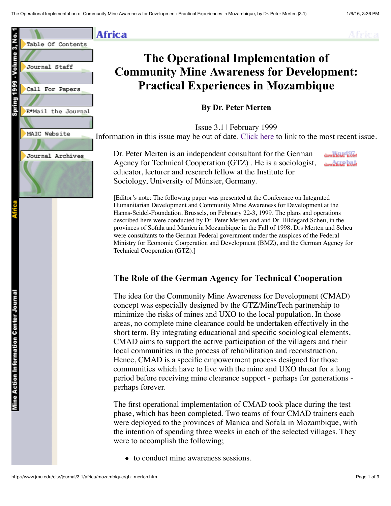

**Africa** 



# **The Operational Implementation of Community Mine Awareness for Development: Practical Experiences in Mozambique**

**By Dr. Peter Merten**

Issue 3.1 | February 1999 Information in this issue may be out of date. [Click here](http://www.jmu.edu/cisr/journal/current.shtml) to link to the most recent issue.

Dr. Peter Merten is an independent consultant for the German Agency for Technical Cooperation (GTZ) . He is a sociologist, educator, lecturer and research fellow at the Institute for Sociology, University of Münster, Germany.

download now! download now

[Editor's note: The following paper was presented at the Conference on Integrated Humanitarian Development and Community Mine Awareness for Development at the Hanns-Seidel-Foundation, Brussels, on February 22-3, 1999. The plans and operations described here were conducted by Dr. Peter Merten and and Dr. Hildegard Scheu, in the provinces of Sofala and Manica in Mozambique in the Fall of 1998. Drs Merten and Scheu were consultants to the German Federal government under the auspices of the Federal Ministry for Economic Cooperation and Development (BMZ), and the German Agency for Technical Cooperation (GTZ).]

## **The Role of the German Agency for Technical Cooperation**

The idea for the Community Mine Awareness for Development (CMAD) concept was especially designed by the GTZ/MineTech partnership to minimize the risks of mines and UXO to the local population. In those areas, no complete mine clearance could be undertaken effectively in the short term. By integrating educational and specific sociological elements, CMAD aims to support the active participation of the villagers and their local communities in the process of rehabilitation and reconstruction. Hence, CMAD is a specific empowerment process designed for those communities which have to live with the mine and UXO threat for a long period before receiving mine clearance support - perhaps for generations perhaps forever.

The first operational implementation of CMAD took place during the test phase, which has been completed. Two teams of four CMAD trainers each were deployed to the provinces of Manica and Sofala in Mozambique, with the intention of spending three weeks in each of the selected villages. They were to accomplish the following;

• to conduct mine awareness sessions.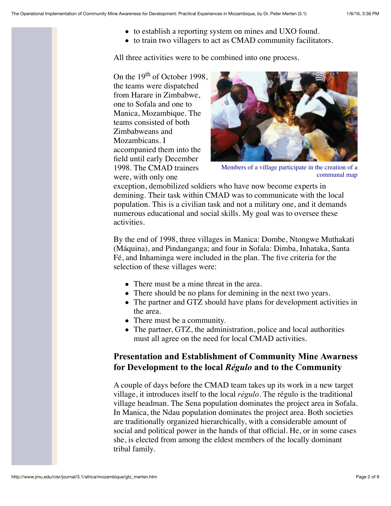- to establish a reporting system on mines and UXO found.
- to train two villagers to act as CMAD community facilitators.

All three activities were to be combined into one process.

On the 19<sup>th</sup> of October 1998, the teams were dispatched from Harare in Zimbabwe, one to Sofala and one to Manica, Mozambique. The teams consisted of both Zimbabweans and Mozambicans. I accompanied them into the field until early December 1998. The CMAD trainers were, with only one



Members of a village participate in the creation of a communal map

exception, demobilized soldiers who have now become experts in demining. Their task within CMAD was to communicate with the local population. This is a civilian task and not a military one, and it demands numerous educational and social skills. My goal was to oversee these activities.

By the end of 1998, three villages in Manica: Dombe, Ntongwe Muthakati (Máquina), and Pindanganga; and four in Sofala: Dimba, Inhataka, Santa Fé, and Inhaminga were included in the plan. The five criteria for the selection of these villages were:

- There must be a mine threat in the area.
- There should be no plans for demining in the next two years.
- The partner and GTZ should have plans for development activities in the area.
- There must be a community.
- The partner, GTZ, the administration, police and local authorities must all agree on the need for local CMAD activities.

## **Presentation and Establishment of Community Mine Awarness for Development to the local** *Régulo* **and to the Community**

A couple of days before the CMAD team takes up its work in a new target village, it introduces itself to the local *régulo*. The régulo is the traditional village headman. The Sena population dominates the project area in Sofala. In Manica, the Ndau population dominates the project area. Both societies are traditionally organized hierarchically, with a considerable amount of social and political power in the hands of that official. He, or in some cases she, is elected from among the eldest members of the locally dominant tribal family.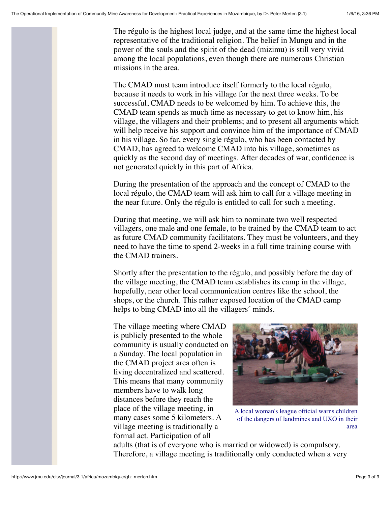The régulo is the highest local judge, and at the same time the highest local representative of the traditional religion. The belief in Mungu and in the power of the souls and the spirit of the dead (mizimu) is still very vivid among the local populations, even though there are numerous Christian missions in the area.

The CMAD must team introduce itself formerly to the local régulo, because it needs to work in his village for the next three weeks. To be successful, CMAD needs to be welcomed by him. To achieve this, the CMAD team spends as much time as necessary to get to know him, his village, the villagers and their problems; and to present all arguments which will help receive his support and convince him of the importance of CMAD in his village. So far, every single régulo, who has been contacted by CMAD, has agreed to welcome CMAD into his village, sometimes as quickly as the second day of meetings. After decades of war, confidence is not generated quickly in this part of Africa.

During the presentation of the approach and the concept of CMAD to the local régulo, the CMAD team will ask him to call for a village meeting in the near future. Only the régulo is entitled to call for such a meeting.

During that meeting, we will ask him to nominate two well respected villagers, one male and one female, to be trained by the CMAD team to act as future CMAD community facilitators. They must be volunteers, and they need to have the time to spend 2-weeks in a full time training course with the CMAD trainers.

Shortly after the presentation to the régulo, and possibly before the day of the village meeting, the CMAD team establishes its camp in the village, hopefully, near other local communication centres like the school, the shops, or the church. This rather exposed location of the CMAD camp helps to bing CMAD into all the villagers' minds.

The village meeting where CMAD is publicly presented to the whole community is usually conducted on a Sunday. The local population in the CMAD project area often is living decentralized and scattered. This means that many community members have to walk long distances before they reach the place of the village meeting, in many cases some 5 kilometers. A village meeting is traditionally a formal act. Participation of all



A local woman's league official warns children of the dangers of landmines and UXO in their area

adults (that is of everyone who is married or widowed) is compulsory. Therefore, a village meeting is traditionally only conducted when a very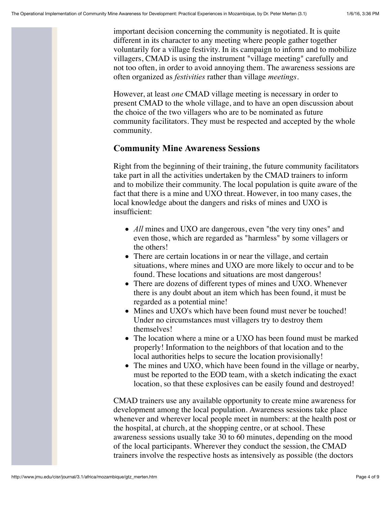important decision concerning the community is negotiated. It is quite different in its character to any meeting where people gather together voluntarily for a village festivity. In its campaign to inform and to mobilize villagers, CMAD is using the instrument "village meeting" carefully and not too often, in order to avoid annoying them. The awareness sessions are often organized as *festivities* rather than village *meetings*.

However, at least *one* CMAD village meeting is necessary in order to present CMAD to the whole village, and to have an open discussion about the choice of the two villagers who are to be nominated as future community facilitators. They must be respected and accepted by the whole community.

#### **Community Mine Awareness Sessions**

Right from the beginning of their training, the future community facilitators take part in all the activities undertaken by the CMAD trainers to inform and to mobilize their community. The local population is quite aware of the fact that there is a mine and UXO threat. However, in too many cases, the local knowledge about the dangers and risks of mines and UXO is insufficient:

- *All* mines and UXO are dangerous, even "the very tiny ones" and even those, which are regarded as "harmless" by some villagers or the others!
- There are certain locations in or near the village, and certain situations, where mines and UXO are more likely to occur and to be found. These locations and situations are most dangerous!
- There are dozens of different types of mines and UXO. Whenever there is any doubt about an item which has been found, it must be regarded as a potential mine!
- Mines and UXO's which have been found must never be touched! Under no circumstances must villagers try to destroy them themselves!
- The location where a mine or a UXO has been found must be marked properly! Information to the neighbors of that location and to the local authorities helps to secure the location provisionally!
- The mines and UXO, which have been found in the village or nearby, must be reported to the EOD team, with a sketch indicating the exact location, so that these explosives can be easily found and destroyed!

CMAD trainers use any available opportunity to create mine awareness for development among the local population. Awareness sessions take place whenever and wherever local people meet in numbers: at the health post or the hospital, at church, at the shopping centre, or at school. These awareness sessions usually take 30 to 60 minutes, depending on the mood of the local participants. Wherever they conduct the session, the CMAD trainers involve the respective hosts as intensively as possible (the doctors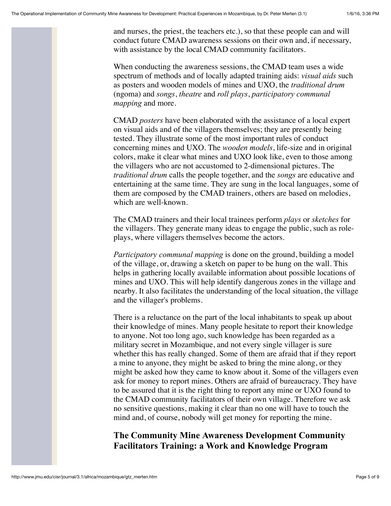and nurses, the priest, the teachers etc.), so that these people can and will conduct future CMAD awareness sessions on their own and, if necessary, with assistance by the local CMAD community facilitators.

When conducting the awareness sessions, the CMAD team uses a wide spectrum of methods and of locally adapted training aids: *visual aids* such as posters and wooden models of mines and UXO, the *traditional drum* (ngoma) and *songs*, *theatre* and *roll plays*, *participatory communal mapping* and more.

CMAD *posters* have been elaborated with the assistance of a local expert on visual aids and of the villagers themselves; they are presently being tested. They illustrate some of the most important rules of conduct concerning mines and UXO. The *wooden models*, life-size and in original colors, make it clear what mines and UXO look like, even to those among the villagers who are not accustomed to 2-dimensional pictures. The *traditional drum* calls the people together, and the *songs* are educative and entertaining at the same time. They are sung in the local languages, some of them are composed by the CMAD trainers, others are based on melodies, which are well-known.

The CMAD trainers and their local trainees perform *plays* or *sketches* for the villagers. They generate many ideas to engage the public, such as roleplays, where villagers themselves become the actors.

*Participatory communal mapping* is done on the ground, building a model of the village, or, drawing a sketch on paper to be hung on the wall. This helps in gathering locally available information about possible locations of mines and UXO. This will help identify dangerous zones in the village and nearby. It also facilitates the understanding of the local situation, the village and the villager's problems.

There is a reluctance on the part of the local inhabitants to speak up about their knowledge of mines. Many people hesitate to report their knowledge to anyone. Not too long ago, such knowledge has been regarded as a military secret in Mozambique, and not every single villager is sure whether this has really changed. Some of them are afraid that if they report a mine to anyone, they might be asked to bring the mine along, or they might be asked how they came to know about it. Some of the villagers even ask for money to report mines. Others are afraid of bureaucracy. They have to be assured that it is the right thing to report any mine or UXO found to the CMAD community facilitators of their own village. Therefore we ask no sensitive questions, making it clear than no one will have to touch the mind and, of course, nobody will get money for reporting the mine.

## **The Community Mine Awareness Development Community Facilitators Training: a Work and Knowledge Program**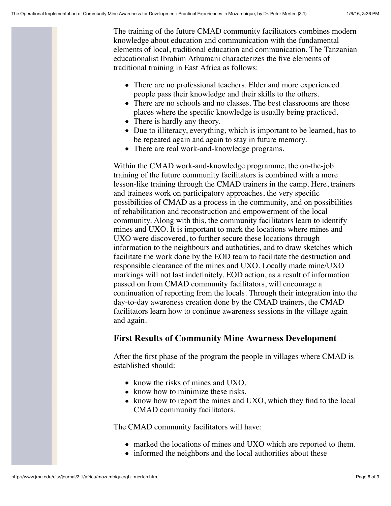The training of the future CMAD community facilitators combines modern knowledge about education and communication with the fundamental elements of local, traditional education and communication. The Tanzanian educationalist Ibrahim Athumani characterizes the five elements of traditional training in East Africa as follows:

- There are no professional teachers. Elder and more experienced people pass their knowledge and their skills to the others.
- There are no schools and no classes. The best classrooms are those places where the specific knowledge is usually being practiced.
- There is hardly any theory.
- Due to illiteracy, everything, which is important to be learned, has to be repeated again and again to stay in future memory.
- There are real work-and-knowledge programs.

Within the CMAD work-and-knowledge programme, the on-the-job training of the future community facilitators is combined with a more lesson-like training through the CMAD trainers in the camp. Here, trainers and trainees work on participatory approaches, the very specific possibilities of CMAD as a process in the community, and on possibilities of rehabilitation and reconstruction and empowerment of the local community. Along with this, the community facilitators learn to identify mines and UXO. It is important to mark the locations where mines and UXO were discovered, to further secure these locations through information to the neighbours and authotities, and to draw sketches which facilitate the work done by the EOD team to facilitate the destruction and responsible clearance of the mines and UXO. Locally made mine/UXO markings will not last indefinitely. EOD action, as a result of information passed on from CMAD community facilitators, will encourage a continuation of reporting from the locals. Through their integration into the day-to-day awareness creation done by the CMAD trainers, the CMAD facilitators learn how to continue awareness sessions in the village again and again.

## **First Results of Community Mine Awarness Development**

After the first phase of the program the people in villages where CMAD is established should:

- know the risks of mines and UXO.
- know how to minimize these risks.
- know how to report the mines and UXO, which they find to the local CMAD community facilitators.

The CMAD community facilitators will have:

- marked the locations of mines and UXO which are reported to them.
- informed the neighbors and the local authorities about these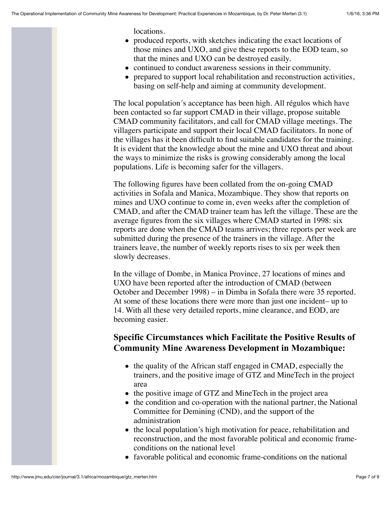locations.

- produced reports, with sketches indicating the exact locations of those mines and UXO, and give these reports to the EOD team, so that the mines and UXO can be destroyed easily.
- continued to conduct awareness sessions in their community.
- prepared to support local rehabilitation and reconstruction activities, basing on self-help and aiming at community development.

The local population´s acceptance has been high. All régulos which have been contacted so far support CMAD in their village, propose suitable CMAD community facilitators, and call for CMAD village meetings. The villagers participate and support their local CMAD facilitators. In none of the villages has it been difficult to find suitable candidates for the training. It is evident that the knowledge about the mine and UXO threat and about the ways to minimize the risks is growing considerably among the local populations. Life is becoming safer for the villagers.

The following figures have been collated from the on-going CMAD activities in Sofala and Manica, Mozambique. They show that reports on mines and UXO continue to come in, even weeks after the completion of CMAD, and after the CMAD trainer team has left the village. These are the average figures from the six villages where CMAD started in 1998: six reports are done when the CMAD teams arrives; three reports per week are submitted during the presence of the trainers in the village. After the trainers leave, the number of weekly reports rises to six per week then slowly decreases.

In the village of Dombe, in Manica Province, 27 locations of mines and UXO have been reported after the introduction of CMAD (between October and December 1998) – in Dimba in Sofala there were 35 reported. At some of these locations there were more than just one incident– up to 14. With all these very detailed reports, mine clearance, and EOD, are becoming easier.

## **Specific Circumstances which Facilitate the Positive Results of Community Mine Awareness Development in Mozambique:**

- the quality of the African staff engaged in CMAD, especially the trainers, and the positive image of GTZ and MineTech in the project area
- the positive image of GTZ and MineTech in the project area
- the condition and co-operation with the national partner, the National Committee for Demining (CND), and the support of the administration
- the local population's high motivation for peace, rehabilitation and reconstruction, and the most favorable political and economic frameconditions on the national level
- favorable political and economic frame-conditions on the national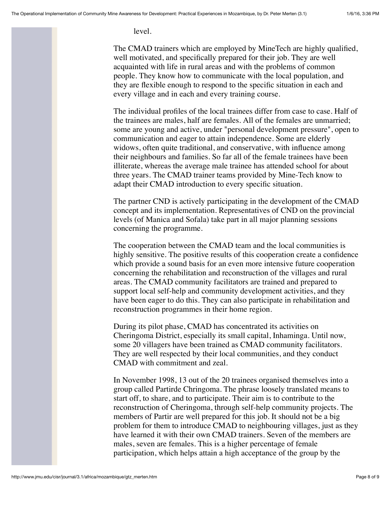level.

The CMAD trainers which are employed by MineTech are highly qualified, well motivated, and specifically prepared for their job. They are well acquainted with life in rural areas and with the problems of common people. They know how to communicate with the local population, and they are flexible enough to respond to the specific situation in each and every village and in each and every training course.

The individual profiles of the local trainees differ from case to case. Half of the trainees are males, half are females. All of the females are unmarried; some are young and active, under "personal development pressure", open to communication and eager to attain independence. Some are elderly widows, often quite traditional, and conservative, with influence among their neighbours and families. So far all of the female trainees have been illiterate, whereas the average male trainee has attended school for about three years. The CMAD trainer teams provided by Mine-Tech know to adapt their CMAD introduction to every specific situation.

The partner CND is actively participating in the development of the CMAD concept and its implementation. Representatives of CND on the provincial levels (of Manica and Sofala) take part in all major planning sessions concerning the programme.

The cooperation between the CMAD team and the local communities is highly sensitive. The positive results of this cooperation create a confidence which provide a sound basis for an even more intensive future cooperation concerning the rehabilitation and reconstruction of the villages and rural areas. The CMAD community facilitators are trained and prepared to support local self-help and community development activities, and they have been eager to do this. They can also participate in rehabilitation and reconstruction programmes in their home region.

During its pilot phase, CMAD has concentrated its activities on Cheringoma District, especially its small capital, Inhaminga. Until now, some 20 villagers have been trained as CMAD community facilitators. They are well respected by their local communities, and they conduct CMAD with commitment and zeal.

In November 1998, 13 out of the 20 trainees organised themselves into a group called Partirde Chringoma. The phrase loosely translated means to start off, to share, and to participate. Their aim is to contribute to the reconstruction of Cheringoma, through self-help community projects. The members of Partir are well prepared for this job. It should not be a big problem for them to introduce CMAD to neighbouring villages, just as they have learned it with their own CMAD trainers. Seven of the members are males, seven are females. This is a higher percentage of female participation, which helps attain a high acceptance of the group by the